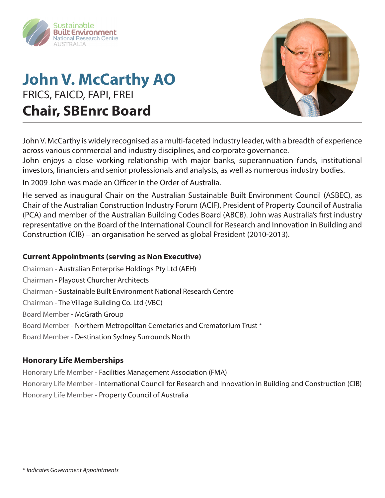

## **John V. McCarthy AO** FRICS, FAICD, FAPI, FREI **Chair, SBEnrc Board**



John V. McCarthy is widely recognised as a multi-faceted industry leader, with a breadth of experience across various commercial and industry disciplines, and corporate governance.

John enjoys a close working relationship with major banks, superannuation funds, institutional investors, financiers and senior professionals and analysts, as well as numerous industry bodies.

In 2009 John was made an Officer in the Order of Australia.

He served as inaugural Chair on the Australian Sustainable Built Environment Council (ASBEC), as Chair of the Australian Construction Industry Forum (ACIF), President of Property Council of Australia (PCA) and member of the Australian Building Codes Board (ABCB). John was Australia's first industry representative on the Board of the International Council for Research and Innovation in Building and Construction (CIB) – an organisation he served as global President (2010-2013).

### **Current Appointments (serving as Non Executive)**

Chairman - Australian Enterprise Holdings Pty Ltd (AEH) Chairman - Playoust Churcher Architects Chairman - Sustainable Built Environment National Research Centre Chairman - The Village Building Co. Ltd (VBC) Board Member - McGrath Group Board Member - Northern Metropolitan Cemetaries and Crematorium Trust \* Board Member - Destination Sydney Surrounds North

### **Honorary Life Memberships**

Honorary Life Member - Facilities Management Association (FMA) Honorary Life Member - International Council for Research and Innovation in Building and Construction (CIB) Honorary Life Member - Property Council of Australia